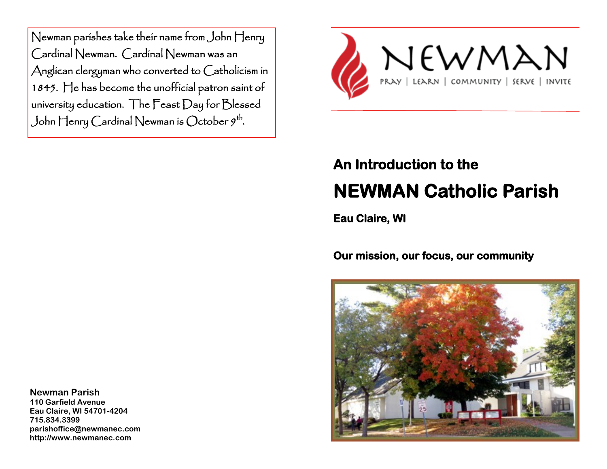Newman parishes take their name from John Henry Cardinal Newman. Cardinal Newman was an Anglican clergyman who converted to Catholicism in 1845. He has become the unofficial patron saint of university education. The Feast Day for Blessed John Henry Cardinal Newman is October  $9^{\text{th}}$ .



## **An Introduction to the NEWMAN Catholic Parish**

**Eau Claire, WI** 

**Our mission, our focus, our community** 



**Newman Parish**

**110 Garfield Avenue Eau Claire, WI 54701-4204 715.834.3399 parishoffice@newmanec.com http://www.newmanec.com**